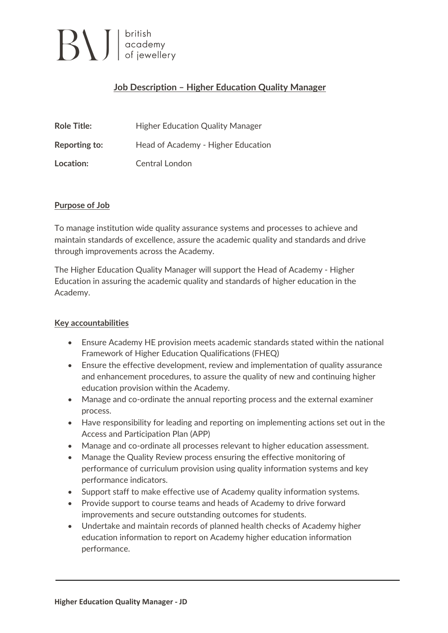# $\left| \bigcup_{\text{of } j} \bigcup_{\text{in } \mathcal{M}} \bigg| \right|_{\text{of } j}$

### **Job Description – Higher Education Quality Manager**

| <b>Role Title:</b>   | <b>Higher Education Quality Manager</b> |
|----------------------|-----------------------------------------|
| <b>Reporting to:</b> | Head of Academy - Higher Education      |
| Location:            | Central London                          |

#### **Purpose of Job**

To manage institution wide quality assurance systems and processes to achieve and maintain standards of excellence, assure the academic quality and standards and drive through improvements across the Academy.

The Higher Education Quality Manager will support the Head of Academy - Higher Education in assuring the academic quality and standards of higher education in the Academy.

#### **Key accountabilities**

- Ensure Academy HE provision meets academic standards stated within the national Framework of Higher Education Qualifications (FHEQ)
- Ensure the effective development, review and implementation of quality assurance and enhancement procedures, to assure the quality of new and continuing higher education provision within the Academy.
- Manage and co-ordinate the annual reporting process and the external examiner process.
- Have responsibility for leading and reporting on implementing actions set out in the Access and Participation Plan (APP)
- Manage and co-ordinate all processes relevant to higher education assessment.
- Manage the Quality Review process ensuring the effective monitoring of performance of curriculum provision using quality information systems and key performance indicators.
- Support staff to make effective use of Academy quality information systems.
- Provide support to course teams and heads of Academy to drive forward improvements and secure outstanding outcomes for students.
- Undertake and maintain records of planned health checks of Academy higher education information to report on Academy higher education information performance.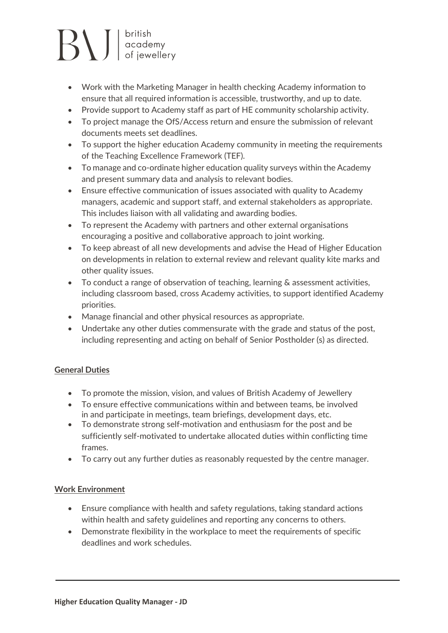# $\left| \bigcup_{\text{of } j \in \mathbb{N}} \bigcup_{\text{of } j \in \mathbb{N}} \mathsf{C} \right|$

- Work with the Marketing Manager in health checking Academy information to ensure that all required information is accessible, trustworthy, and up to date.
- Provide support to Academy staff as part of HE community scholarship activity.
- To project manage the OfS/Access return and ensure the submission of relevant documents meets set deadlines.
- To support the higher education Academy community in meeting the requirements of the Teaching Excellence Framework (TEF).
- To manage and co-ordinate higher education quality surveys within the Academy and present summary data and analysis to relevant bodies.
- Ensure effective communication of issues associated with quality to Academy managers, academic and support staff, and external stakeholders as appropriate. This includes liaison with all validating and awarding bodies.
- To represent the Academy with partners and other external organisations encouraging a positive and collaborative approach to joint working.
- To keep abreast of all new developments and advise the Head of Higher Education on developments in relation to external review and relevant quality kite marks and other quality issues.
- To conduct a range of observation of teaching, learning & assessment activities, including classroom based, cross Academy activities, to support identified Academy priorities.
- Manage financial and other physical resources as appropriate.
- Undertake any other duties commensurate with the grade and status of the post, including representing and acting on behalf of Senior Postholder (s) as directed.

### **General Duties**

- To promote the mission, vision, and values of British Academy of Jewellery
- To ensure effective communications within and between teams, be involved in and participate in meetings, team briefings, development days, etc.
- To demonstrate strong self-motivation and enthusiasm for the post and be sufficiently self-motivated to undertake allocated duties within conflicting time frames.
- To carry out any further duties as reasonably requested by the centre manager.

### **Work Environment**

- Ensure compliance with health and safety regulations, taking standard actions within health and safety guidelines and reporting any concerns to others.
- Demonstrate flexibility in the workplace to meet the requirements of specific deadlines and work schedules.